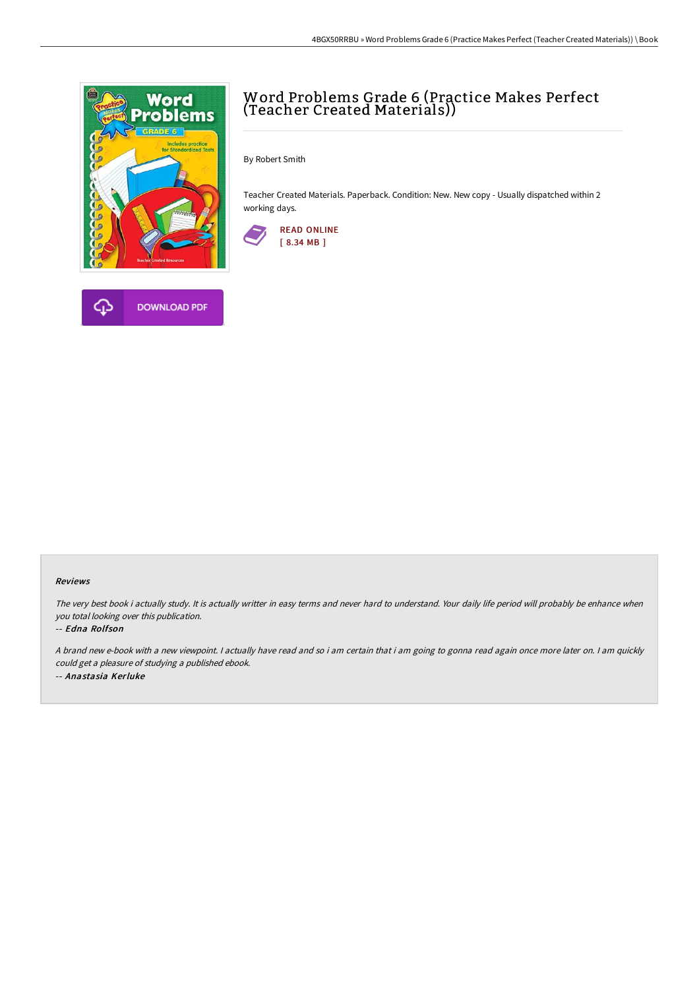

## Word Problems Grade 6 (Practice Makes Perfect (Teacher Created Materials))

By Robert Smith

Teacher Created Materials. Paperback. Condition: New. New copy - Usually dispatched within 2 working days.



## Reviews

The very best book i actually study. It is actually writter in easy terms and never hard to understand. Your daily life period will probably be enhance when you total looking over this publication.

## -- Edna Rolfson

A brand new e-book with <sup>a</sup> new viewpoint. I actually have read and so i am certain that i am going to gonna read again once more later on. I am quickly could get <sup>a</sup> pleasure of studying <sup>a</sup> published ebook. -- Anastasia Kerluke